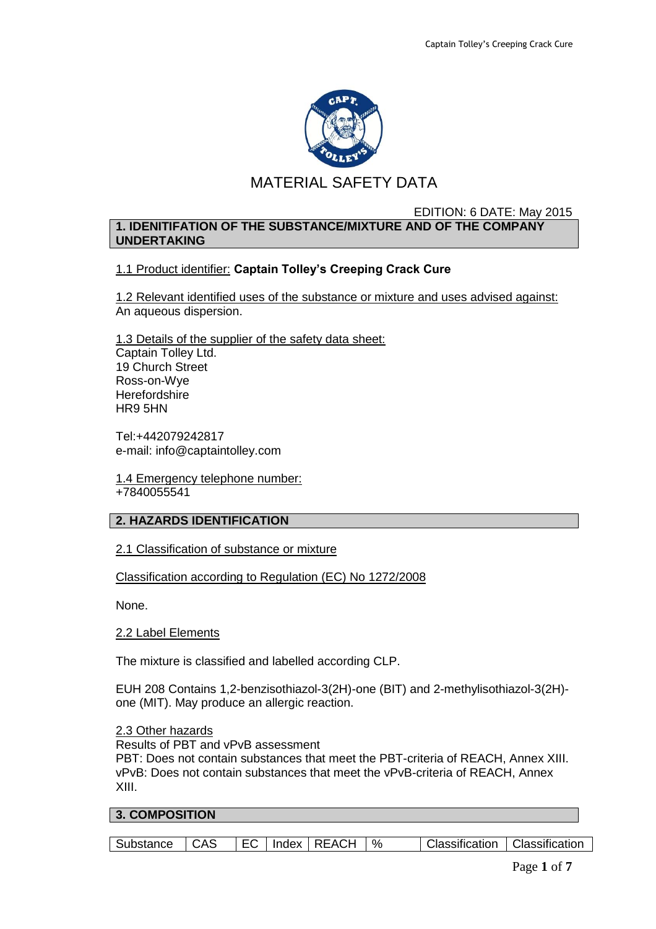

# MATERIAL SAFETY DATA

#### EDITION: 6 DATE: May 2015 **1. IDENITIFATION OF THE SUBSTANCE/MIXTURE AND OF THE COMPANY UNDERTAKING**

## 1.1 Product identifier: **Captain Tolley's Creeping Crack Cure**

1.2 Relevant identified uses of the substance or mixture and uses advised against: An aqueous dispersion.

1.3 Details of the supplier of the safety data sheet: Captain Tolley Ltd. 19 Church Street Ross-on-Wye **Herefordshire** HR9 5HN

Tel:+442079242817 e-mail: info@captaintolley.com

1.4 Emergency telephone number: +7840055541

### **2. HAZARDS IDENTIFICATION**

2.1 Classification of substance or mixture

### Classification according to Regulation (EC) No 1272/2008

None.

#### 2.2 Label Elements

The mixture is classified and labelled according CLP.

EUH 208 Contains 1,2-benzisothiazol-3(2H)-one (BIT) and 2-methylisothiazol-3(2H) one (MIT). May produce an allergic reaction.

### 2.3 Other hazards

Results of PBT and vPvB assessment

PBT: Does not contain substances that meet the PBT-criteria of REACH, Annex XIII. vPvB: Does not contain substances that meet the vPvB-criteria of REACH, Annex XIII.

## **3. COMPOSITION**

|  | Substance   CAS |  |  |  | EC   Index   REACH   % |  | Classification   Classification |  |
|--|-----------------|--|--|--|------------------------|--|---------------------------------|--|
|--|-----------------|--|--|--|------------------------|--|---------------------------------|--|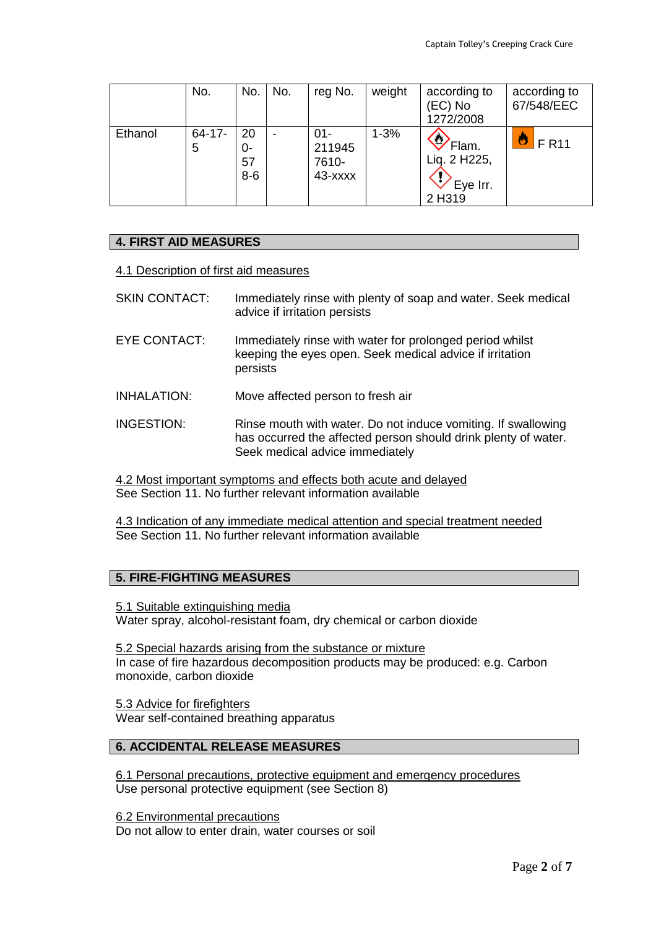|         | No.              | No.                     | No. | reg No.                              | weight   | according to<br>(EC) No<br>1272/2008                        | according to<br>67/548/EEC |
|---------|------------------|-------------------------|-----|--------------------------------------|----------|-------------------------------------------------------------|----------------------------|
| Ethanol | $64 - 17 -$<br>5 | 20<br>0-<br>57<br>$8-6$ |     | $01 -$<br>211945<br>7610-<br>43-xxxx | $1 - 3%$ | $\heartsuit$<br>Flam.<br>Lig. 2 H225,<br>Eye Irr.<br>2 H319 | <b>FR11</b>                |

### **4. FIRST AID MEASURES**

#### 4.1 Description of first aid measures

- SKIN CONTACT: Immediately rinse with plenty of soap and water. Seek medical advice if irritation persists
- EYE CONTACT: Immediately rinse with water for prolonged period whilst keeping the eyes open. Seek medical advice if irritation persists
- INHALATION: Move affected person to fresh air
- INGESTION: Rinse mouth with water. Do not induce vomiting. If swallowing has occurred the affected person should drink plenty of water. Seek medical advice immediately

4.2 Most important symptoms and effects both acute and delayed See Section 11. No further relevant information available

4.3 Indication of any immediate medical attention and special treatment needed See Section 11. No further relevant information available

#### **5. FIRE-FIGHTING MEASURES**

5.1 Suitable extinguishing media Water spray, alcohol-resistant foam, dry chemical or carbon dioxide

5.2 Special hazards arising from the substance or mixture In case of fire hazardous decomposition products may be produced: e.g. Carbon monoxide, carbon dioxide

5.3 Advice for firefighters Wear self-contained breathing apparatus

## **6. ACCIDENTAL RELEASE MEASURES**

6.1 Personal precautions, protective equipment and emergency procedures Use personal protective equipment (see Section 8)

6.2 Environmental precautions Do not allow to enter drain, water courses or soil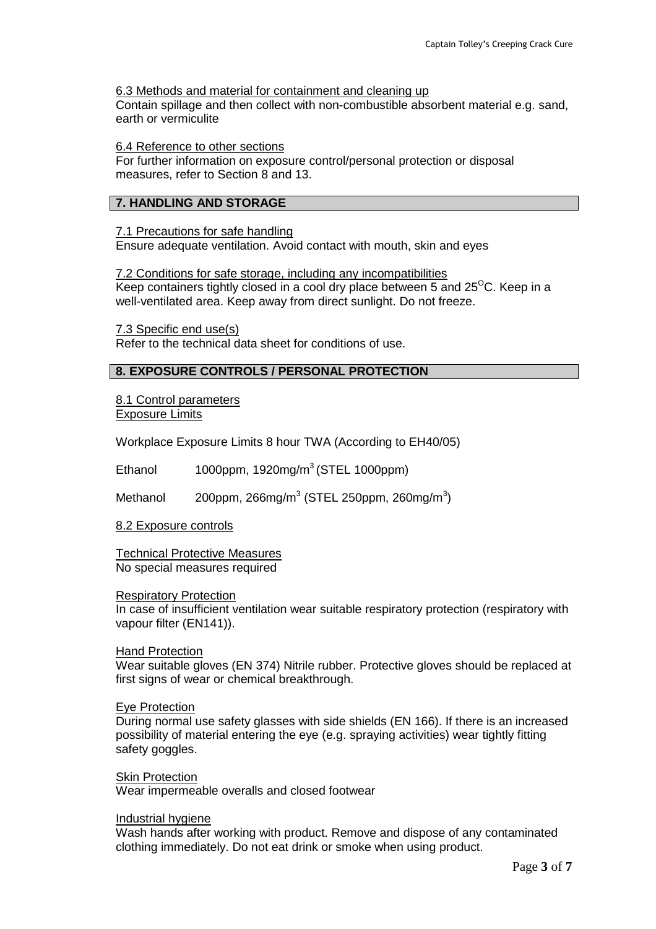### 6.3 Methods and material for containment and cleaning up

Contain spillage and then collect with non-combustible absorbent material e.g. sand, earth or vermiculite

#### 6.4 Reference to other sections

For further information on exposure control/personal protection or disposal measures, refer to Section 8 and 13.

### **7. HANDLING AND STORAGE**

### 7.1 Precautions for safe handling

Ensure adequate ventilation. Avoid contact with mouth, skin and eyes

7.2 Conditions for safe storage, including any incompatibilities Keep containers tightly closed in a cool dry place between 5 and  $25^{\circ}$ C. Keep in a well-ventilated area. Keep away from direct sunlight. Do not freeze.

7.3 Specific end use(s) Refer to the technical data sheet for conditions of use.

## **8. EXPOSURE CONTROLS / PERSONAL PROTECTION**

8.1 Control parameters Exposure Limits

Workplace Exposure Limits 8 hour TWA (According to EH40/05)

Ethanol  $1000$ ppm, 1920mg/m<sup>3</sup> (STEL 1000ppm)

Methanol  $200$ ppm, 266mg/m<sup>3</sup> (STEL 250ppm, 260mg/m<sup>3</sup>)

8.2 Exposure controls

Technical Protective Measures No special measures required

#### Respiratory Protection

In case of insufficient ventilation wear suitable respiratory protection (respiratory with vapour filter (EN141)).

#### Hand Protection

Wear suitable gloves (EN 374) Nitrile rubber. Protective gloves should be replaced at first signs of wear or chemical breakthrough.

#### Eye Protection

During normal use safety glasses with side shields (EN 166). If there is an increased possibility of material entering the eye (e.g. spraying activities) wear tightly fitting safety goggles.

Skin Protection

Wear impermeable overalls and closed footwear

#### Industrial hygiene

Wash hands after working with product. Remove and dispose of any contaminated clothing immediately. Do not eat drink or smoke when using product.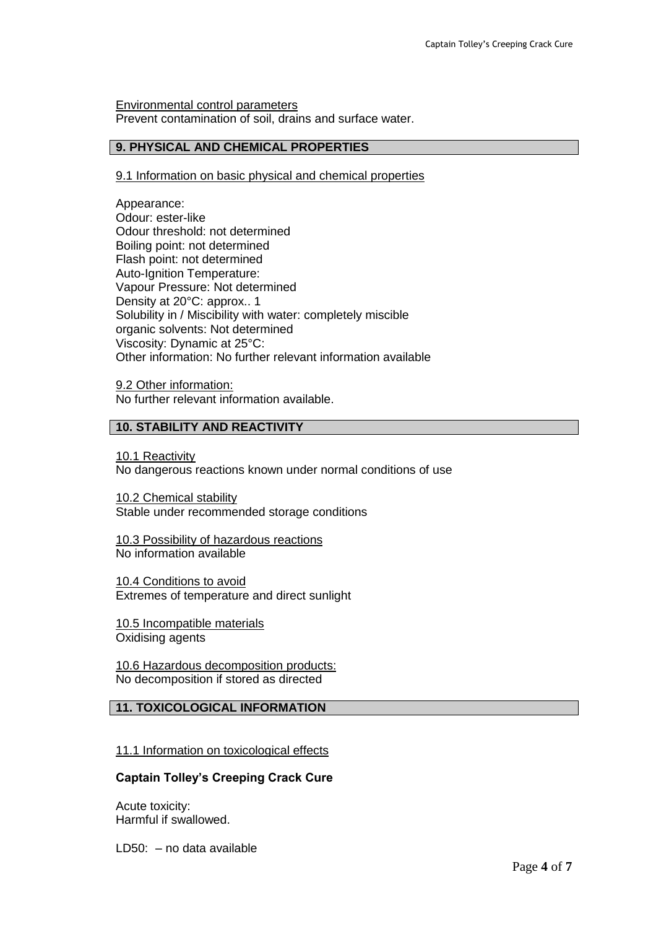Environmental control parameters Prevent contamination of soil, drains and surface water.

### **9. PHYSICAL AND CHEMICAL PROPERTIES**

### 9.1 Information on basic physical and chemical properties

Appearance: Odour: ester-like Odour threshold: not determined Boiling point: not determined Flash point: not determined Auto-Ignition Temperature: Vapour Pressure: Not determined Density at 20°C: approx.. 1 Solubility in / Miscibility with water: completely miscible organic solvents: Not determined Viscosity: Dynamic at 25°C: Other information: No further relevant information available

9.2 Other information: No further relevant information available.

### **10. STABILITY AND REACTIVITY**

10.1 Reactivity No dangerous reactions known under normal conditions of use

10.2 Chemical stability Stable under recommended storage conditions

10.3 Possibility of hazardous reactions No information available

10.4 Conditions to avoid Extremes of temperature and direct sunlight

10.5 Incompatible materials Oxidising agents

10.6 Hazardous decomposition products: No decomposition if stored as directed

## **11. TOXICOLOGICAL INFORMATION**

### 11.1 Information on toxicological effects

### **Captain Tolley's Creeping Crack Cure**

Acute toxicity: Harmful if swallowed.

LD50: – no data available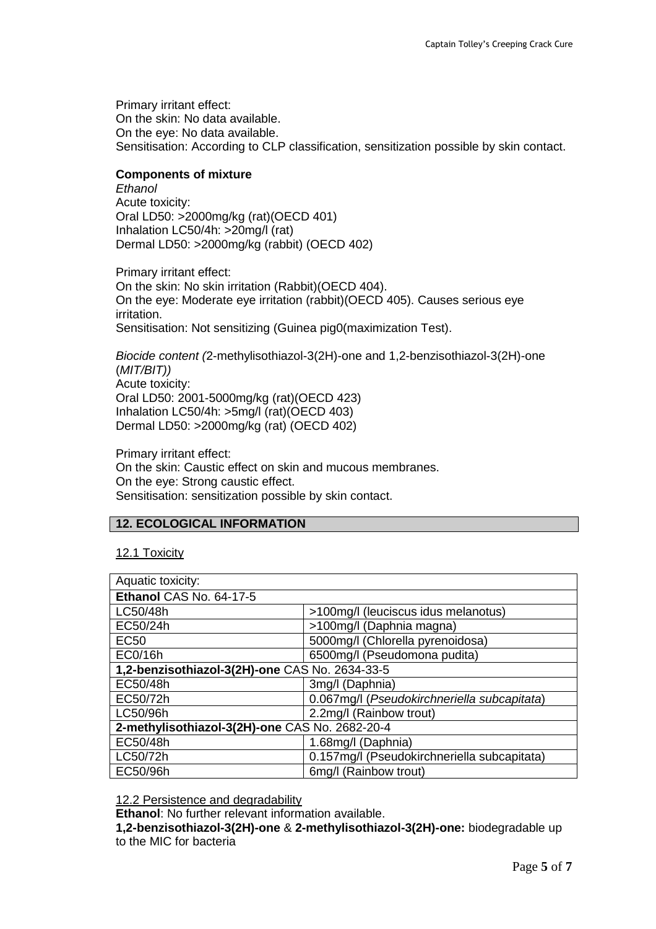Primary irritant effect: On the skin: No data available. On the eye: No data available. Sensitisation: According to CLP classification, sensitization possible by skin contact.

### **Components of mixture**

*Ethanol* Acute toxicity: Oral LD50: >2000mg/kg (rat)(OECD 401) Inhalation LC50/4h: >20mg/l (rat) Dermal LD50: >2000mg/kg (rabbit) (OECD 402)

Primary irritant effect: On the skin: No skin irritation (Rabbit)(OECD 404). On the eye: Moderate eye irritation (rabbit)(OECD 405). Causes serious eye irritation. Sensitisation: Not sensitizing (Guinea pig0(maximization Test).

*Biocide content (*2-methylisothiazol-3(2H)-one and 1,2-benzisothiazol-3(2H)-one (*MIT/BIT))* Acute toxicity: Oral LD50: 2001-5000mg/kg (rat)(OECD 423) Inhalation LC50/4h: >5mg/l (rat)(OECD 403) Dermal LD50: >2000mg/kg (rat) (OECD 402)

Primary irritant effect: On the skin: Caustic effect on skin and mucous membranes. On the eye: Strong caustic effect. Sensitisation: sensitization possible by skin contact.

### **12. ECOLOGICAL INFORMATION**

### 12.1 Toxicity

| Aquatic toxicity:                              |                                             |  |  |
|------------------------------------------------|---------------------------------------------|--|--|
| Ethanol CAS No. 64-17-5                        |                                             |  |  |
| LC50/48h                                       | >100mg/l (leuciscus idus melanotus)         |  |  |
| EC50/24h                                       | >100mg/l (Daphnia magna)                    |  |  |
| <b>EC50</b>                                    | 5000mg/l (Chlorella pyrenoidosa)            |  |  |
| EC0/16h                                        | 6500mg/l (Pseudomona pudita)                |  |  |
| 1,2-benzisothiazol-3(2H)-one CAS No. 2634-33-5 |                                             |  |  |
| EC50/48h                                       | 3mg/l (Daphnia)                             |  |  |
| EC50/72h                                       | 0.067mg/l (Pseudokirchneriella subcapitata) |  |  |
| LC50/96h                                       | 2.2mg/l (Rainbow trout)                     |  |  |
| 2-methylisothiazol-3(2H)-one CAS No. 2682-20-4 |                                             |  |  |
| EC50/48h                                       | 1.68mg/l (Daphnia)                          |  |  |
| LC50/72h                                       | 0.157mg/l (Pseudokirchneriella subcapitata) |  |  |
| EC50/96h                                       | 6mg/l (Rainbow trout)                       |  |  |

### 12.2 Persistence and degradability

**Ethanol**: No further relevant information available.

**1,2-benzisothiazol-3(2H)-one** & **2-methylisothiazol-3(2H)-one:** biodegradable up to the MIC for bacteria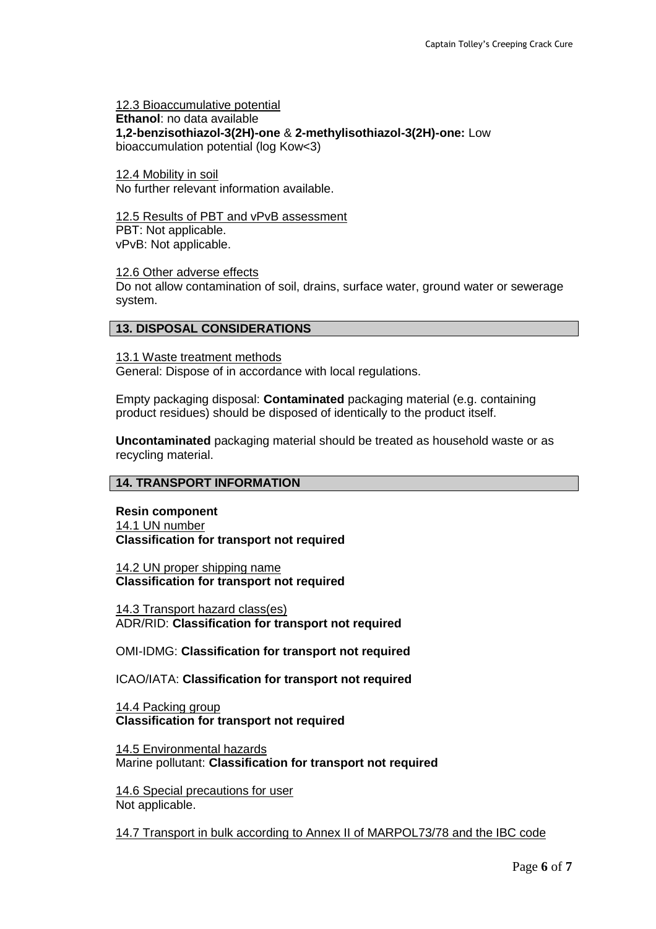12.3 Bioaccumulative potential **Ethanol**: no data available **1,2-benzisothiazol-3(2H)-one** & **2-methylisothiazol-3(2H)-one:** Low bioaccumulation potential (log Kow<3)

12.4 Mobility in soil No further relevant information available.

12.5 Results of PBT and vPvB assessment PBT: Not applicable. vPvB: Not applicable.

12.6 Other adverse effects

Do not allow contamination of soil, drains, surface water, ground water or sewerage system.

#### **13. DISPOSAL CONSIDERATIONS**

13.1 Waste treatment methods General: Dispose of in accordance with local regulations.

Empty packaging disposal: **Contaminated** packaging material (e.g. containing product residues) should be disposed of identically to the product itself.

**Uncontaminated** packaging material should be treated as household waste or as recycling material.

### **14. TRANSPORT INFORMATION**

**Resin component** 14.1 UN number **Classification for transport not required**

14.2 UN proper shipping name **Classification for transport not required**

14.3 Transport hazard class(es) ADR/RID: **Classification for transport not required**

OMI-IDMG: **Classification for transport not required**

ICAO/IATA: **Classification for transport not required**

14.4 Packing group **Classification for transport not required**

14.5 Environmental hazards Marine pollutant: **Classification for transport not required**

14.6 Special precautions for user Not applicable.

14.7 Transport in bulk according to Annex II of MARPOL73/78 and the IBC code